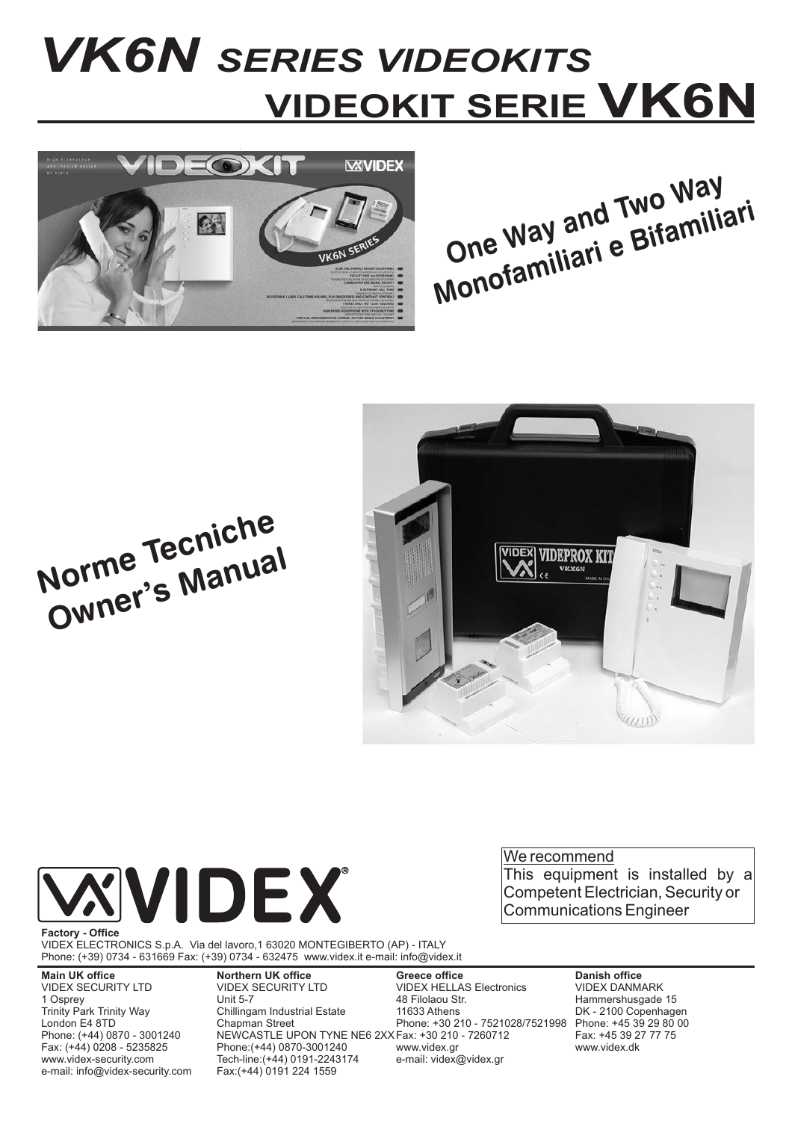# *VK6N SERIES VIDEOKITS* **VIDEOKIT SERIE VK6N**







**Norme Tecniche Owner's Manual**



We recommend This equipment is installed by a Competent Electrician, Security or Communications Engineer

VIDEX ELECTRONICS S.p.A. Via del lavoro,1 63020 MONTEGIBERTO (AP) - ITALY Phone: (+39) 0734 - 631669 Fax: (+39) 0734 - 632475 www.videx.it e-mail: info@videx.it

**Main UK office**

VIDEX SECURITY LTD 1 Osprey Trinity Park Trinity Way London E4 8TD Phone: (+44) 0870 - 3001240 Fax: (+44) 0208 - 5235825 www.videx-security.com e-mail: info@videx-security.com **Northern UK office** VIDEX SECURITY LTD Unit 5-7 Chillingam Industrial Estate Chapman Street NEWCASTLE UPON TYNE NE6 2XX Fax: +30 210 - 7260712 Phone:(+44) 0870-3001240 Tech-line:(+44) 0191-2243174 Fax:(+44) 0191 224 1559

**Greece office** VIDEX HELLAS Electronics 48 Filolaou Str. 11633 Athens Phone: +30 210 - 7521028/7521998 www.videx.gr e-mail: videx@videx.gr

**Danish office** VIDEX DANMARK Hammershusgade 15 DK - 2100 Copenhagen Phone: +45 39 29 80 00 Fax: +45 39 27 77 75 www.videx.dk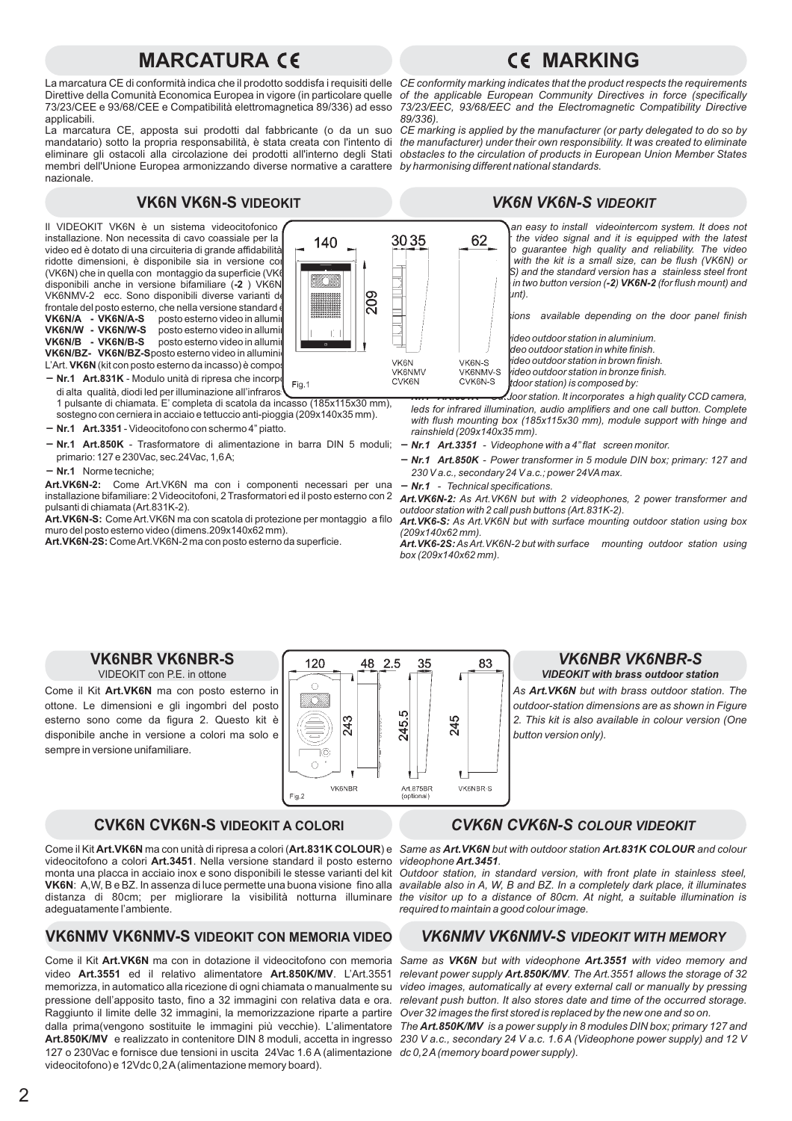# **MARCATURA CE CE MARKING**

La marcatura CE di conformità indica che il prodotto soddisfa i requisiti delle *CE conformity marking indicates that the product respects the requirements* Direttive della Comunità Economica Europea in vigore (in particolare quelle of the applicable European Community Directives in force (specifically 73/23/CEE e 93/68/CEE e Compatibilità elettromagnetica 89/336) ad esso applicabili.

La marcatura CE, apposta sui prodotti dal fabbricante (o da un suo mandatario) sotto la propria responsabilità, è stata creata con l'intento di eliminare gli ostacoli alla circolazione dei prodotti all'interno degli Stati *obstacles to the circulation of products in European Union Member States* membri dell'Unione Europea armonizzando diverse normative a carattere nazionale.

# **VK6N VK6N-S VIDEOKIT** *VK6N VK6N-S VIDEOKIT*

Il VIDEOKIT VK6N è un sistema videocitofonico installazione. Non necessita di cavo coassiale per la  $\sqrt{\frac{140}{140}}$  3035 installazione. Non necessita di cavo coassiale per la  $140$ video ed è dotato di una circuiteria di grande affidabilità ridotte dimensioni, è disponibile sia in versione co (VK6N) che in quella con montaggio da superficie (VK6 disponibili anche in versione bifamiliare (**-2** ) VK6N**-**  $||\cdot||$   $||$   $||$   $||$ VK6NMV-2 ecc. Sono disponibili diverse varianti del kit in base alla poste esterno, che nella versione standard frontale del posto esterno, che nella versione standard è posto esterno video in allumi posto esterno video in allumi posto esterno video in allumi **VK6N/BZ- VK6N/BZ-S**posto esterno video in alluminic L'Art. **VK6N** (kit con posto esterno da incasso) è compos **VK6N/A - VK6N/A-S VK6N/W - VK6N/W-S VK6N/B - VK6N/B-S**

**- Nr.1 Art.831K** - Modulo unità di ripresa che incorporationale contentionale contentionale contentionale contentionale contentionale contentionale contentionale contentionale contentionale contentionale contentionale con **NET ALTABETH** - MODULO UNITA DI FIDESA CHE INCORPETION Fig. 1<br>di alta qualità, diodi led per illuminazione all'infrarosi

1 pulsante di chiamata. E' completa di scatola da incasso (185x115x30 mm), sostegno con cerniera in acciaio e tettuccio anti-pioggia (209x140x35 mm).

- $Nr.1$  Art.3351 Videocitofono con schermo 4" piatto.
- Nr.1 Art.850K Trasformatore di alimentazione in barra DIN 5 moduli; Nr.1 Art.3351 Videophone with a 4" flat screen monitor. primario: 127 e 230Vac, sec.24Vac, 1,6A;
- Nr.1 Norme tecniche;

Art.VK6N-2: Come Art.VK6N ma con i componenti necessari per una installazione bifamiliare: 2 Videocitofoni, 2 Trasformatori ed il posto esterno con 2 pulsanti di chiamata (Art.831K-2).

Art.VK6N-S: Come Art.VK6N ma con scatola di protezione per montaggio a filo muro del posto esterno video (dimens.209x140x62 mm).

**Art.VK6N-2S:** ComeArt.VK6N-2 ma con posto esterno da superficie.



*73/23/EEC, 93/68/EEC and the Electromagnetic Compatibility Directive 89/336).*

*CE marking is applied by the manufacturer (or party delegated to do so by the manufacturer) under their own responsibility. It was created to eliminate by harmonising different national standards.*

*The VK6N VIDEOKIT is an easy to install videointercom system. It does not* **62** *the video signal and it is equipped with the latest electronic components to guarantee high quality and reliability. The video* with the kit is a small size, can be flush (VK6N) or S) and the standard version has a stainless steel front *plate. All kits are are all in two button version (-2) VK6N-2 (for flush mount) and (for surface mount).*

*There are many kit versions available depending on the door panel finish*

*video outdoor station in bronze finish. video outdoor station in aluminium. video outdoor station in white finish. video outdoor station in brown finish. ( with flushing outdoor station) is composed by:*

*- Outdoor station. It incorporates a high quality CCD camera, leds for infrared illumination, audio amplifiers and one call button. Complete with flush mounting box (185x115x30 mm), module support with hinge and rainshield (209x140x35 mm).*

- 
- *Nr.1 Art.850K Power transformer in 5 module DIN box; primary: 127 and 230 V a.c., secondary24 V a.c.; power 24VAmax.*
- *Nr.1 Technical specifications.*

Art.VK6N-2: As Art.VK6N but with 2 videophones, 2 power transformer and *outdoor station with 2 call push buttons (Art.831K-2).*

Art. VK6-S: As Art. VK6N but with surface mounting outdoor station using box *(209x140x62 mm).*

Art.VK6-2S: As Art. VK6N-2 but with surface mounting outdoor station using *box (209x140x62 mm).*

# **VK6NBR VK6NBR-S**

VIDEOKIT con P.E. in ottone

Come il Kit Art. VK6N ma con posto esterno in ottone. Le dimensioni e gli ingombri del posto esterno sono come da figura 2. Questo kit è disponibile anche in versione a colori ma solo e sempre in versione unifamiliare.



# *VK6NBR VK6NBR-S*

*VIDEOKIT with brass outdoor station*

*As but with brass outdoor station. The Art.VK6N outdoor-station dimensions are as shown in Figure 2. This kit is also available in colour version (One button version only).*

## **CVK6N CVK6N-S VIDEOKIT A COLORI** *CVK6N CVK6N-S COLOUR VIDEOKIT*

Come il Kit **Art.VK6N** ma con unità di ripresa a colori (**Art.831K COLOUR**) e Sa*me as Art.VK6N but with outdoor station Art.831K COLOUR and colour* videocitofono a colori Art.3451. Nella versione standard il posto esterno monta una placca in acciaio inox e sono disponibili le stesse varianti del kit : A,W, B e BZ. In assenza di luce permette una buona visione fino alla **VK6N** distanza di 80cm; per migliorare la visibilità notturna illuminare adeguatamente l'ambiente.

# **VK6NMV VK6NMV-S VIDEOKIT CON MEMORIA VIDEO** *VK6NMV VK6NMV-S VIDEOKIT WITH MEMORY*

Come il Kit Art.VK6N ma con in dotazione il videocitofono con memoria video Art.3551 ed il relativo alimentatore Art.850K/MV. L'Art.3551 memorizza, in automatico alla ricezione di ogni chiamata o manualmente su pressione dell'apposito tasto, fino a 32 immagini con relativa data e ora. Raggiunto il limite delle 32 immagini, la memorizzazione riparte a partire dalla prima(vengono sostituite le immagini più vecchie). L'alimentatore Art.850K/MV e realizzato in contenitore DIN 8 moduli, accetta in ingresso 127 o 230Vac e fornisce due tensioni in uscita 24Vac 1.6 A (alimentazione *dc 0,2A(memory board power supply).* videocitofono) e 12Vdc 0,2A(alimentazione memory board).

videophone Art.3451.

*Outdoor station, in standard version, with front plate in stainless steel, available also in A, W, B and BZ. In a completely dark place, it illuminates the visitor up to a distance of 80cm. At night, a suitable illumination is required to maintain a good colour image.*

Same as VK6N but with videophone Art.3551 with video memory and *relevant power supply Art.850K/MV. The Art.3551 allows the storage of 32 video images, automatically at every external call or manually by pressing relevant push button. It also stores date and time of the occurred storage. Over 32 images the first stored is replaced by the new one and so on.*

The **Art.850K/MV** is a power supply in 8 modules DIN box; primary 127 and *230 V a.c., secondary 24 V a.c. 1.6 A (Videophone power supply) and 12 V*

VK6NMV-S<br>CVK6N-S *VK6N/A - VK6N/A-S VK6N/W - VK6N/W-S VK6N/B - VK6N/B-S* CVK6N *Nr.1 Art.831K*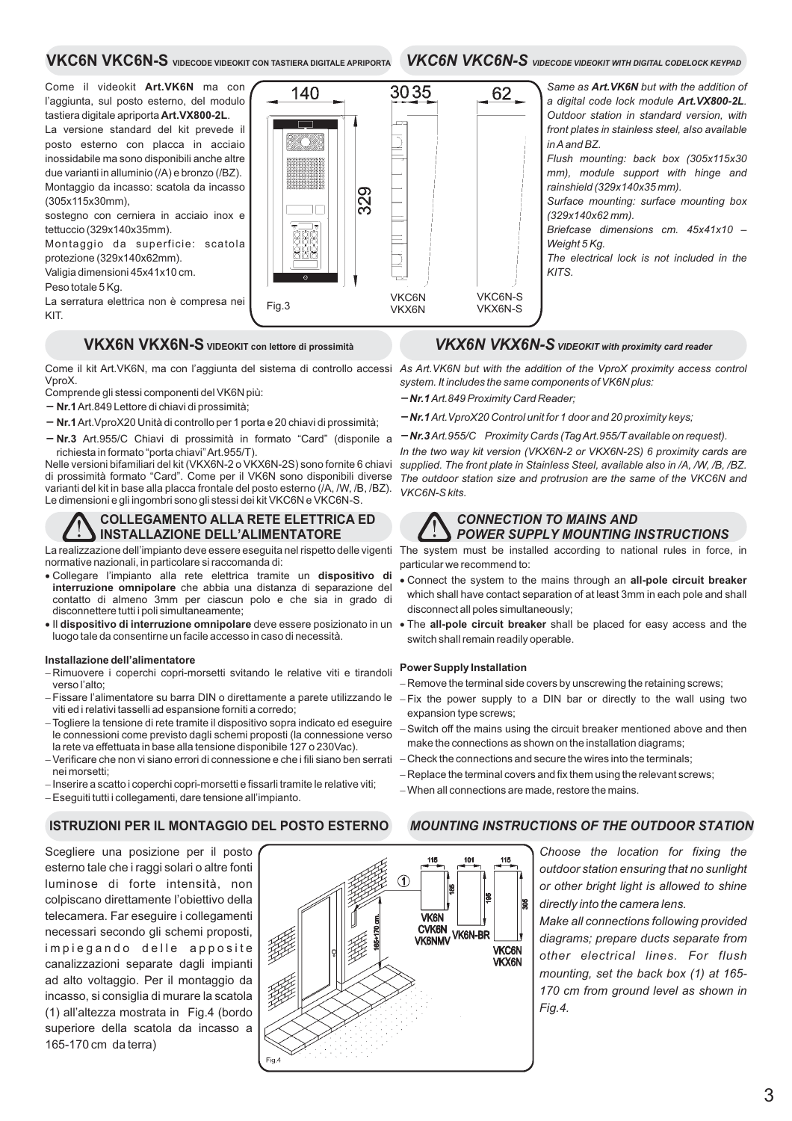### **VKC6N VKC6N-S VIDECODE VIDEOKIT CON TASTIERA DIGITALE APRIPORTA** *VKC6N VKC6N-S VIDECODE VIDEOKIT WITH DIGITAL CODELOCK KEYPAD*

140

Come il videokit Art.VK6N ma con l'aggiunta, sul posto esterno, del modulo tastiera digitale apriporta **Art.VX800-2L**.

La versione standard del kit prevede il posto esterno con placca in acciaio inossidabile ma sono disponibili anche altre due varianti in alluminio (/A) e bronzo (/BZ). Montaggio da incasso: scatola da incasso (305x115x30mm),

sostegno con cerniera in acciaio inox e tettuccio (329x140x35mm).

Montaggio da superficie: scatola protezione (329x140x62mm).

Valigia dimensioni 45x41x10 cm.

Peso totale 5 Kg.

La serratura elettrica non è compresa nei KIT.

# **VKX6N VKX6N-S** VIDEOKIT con lettore di prossimità *VKX6N VKX6N-S VIDEOKIT with proximity card reader*

VproX.

Comprende gli stessi componenti del VK6N più:

 $-$  Nr.1 Art.849 Lettore di chiavi di prossimità; **– Nr.1** Art. VproX20 Unità di controllo per 1 porta e 20 chiavi di prossimità;

- Nr.3 Art.955/C Chiavi di prossimità in formato "Card" (disponile a richiesta in formato "porta chiavi"Art.955/T).

Nelle versioni bifamiliari del kit (VKX6N-2 o VKX6N-2S) sono fornite 6 chiavi di prossimità formato "Card". Come per il VK6N sono disponibili diverse varianti del kit in base alla placca frontale del posto esterno (/A, /W, /B, /BZ). Le dimensioni e gli ingombri sono gli stessi dei kit VKC6N e VKC6N-S.

### **COLLEGAMENTO ALLA RETE ELETTRICA ED INSTALLAZIONE DELL'ALIMENTATORE**

La realizzazione dell'impianto deve essere eseguita nel rispetto delle vigenti normative nazionali, in particolare si raccomanda di:

- Collegare l'impianto alla rete elettrica tramite un **dispositivo di** interruzione omnipolare che abbia una distanza di separazione del contatto di almeno 3mm per ciascun polo e che sia in grado di disconnettere tutti i poli simultaneamente;
- **Il dispositivo di interruzione omnipolare** deve essere posizionato in un luogo tale da consentirne un facile accesso in caso di necessità.

### **Installazione dell'alimentatore**

- -Rimuovere i coperchi copri-morsetti svitando le relative viti e tirandoli verso l'alto;
- Fissare l'alimentatore su barra DIN o direttamente a parete utilizzando le viti ed i relativi tasselli ad espansione forniti a corredo;
- Togliere la tensione di rete tramite il dispositivo sopra indicato ed eseguire le connessioni come previsto dagli schemi proposti (la connessione verso la rete va effettuata in base alla tensione disponibile 127 o 230Vac).
- Verificare che non vi siano errori di connessione e che i fili siano ben serrati nei morsetti;
- Inserire a scatto i coperchi copri-morsetti e fissarli tramite le relative viti;
- Eseguiti tutti i collegamenti, dare tensione all'impianto. -

Scegliere una posizione per il posto esterno tale che i raggi solari o altre fonti luminose di forte intensità, non colpiscano direttamente l'obiettivo della telecamera. Far eseguire i collegamenti necessari secondo gli schemi proposti, impiegando delle apposite canalizzazioni separate dagli impianti ad alto voltaggio. Per il montaggio da incasso, si consiglia di murare la scatola (1) all'altezza mostrata in Fig.4 (bordo superiore della scatola da incasso a 165-170 cm da terra)



Same as **Art. VK6N** but with the addition of a digital code lock module Art. VX800-2L. *Outdoor station in standard version, with front plates in stainless steel, also available inAand BZ.*

*Flush mounting: back box (305x115x30 mm), module support with hinge and rainshield (329x140x35 mm).*

*Surface mounting: surface mounting box (329x140x62 mm).*

*Briefcase dimensions cm. 45x41x10 – Weight 5 Kg.*

*The electrical lock is not included in the KITS.*

Come il kit Art.VK6N, ma con l'aggiunta del sistema di controllo accessi As Art.VK6N but with the addition of the VproX proximity access control *system. It includes the same components of VK6N plus:*

*Art.849 Proximity Card Reader; Nr.1*

VKC6N-S

62

- *Art.VproX20 Control unit for 1 door and 20 proximity keys; Nr.1*
- *Art.955/C Proximity Cards (TagArt.955/T available on request). Nr.3*

*In the two way kit version (VKX6N-2 or VKX6N-2S) 6 proximity cards are supplied. The front plate in Stainless Steel, available also in /A, /W, /B, /BZ. The outdoor station size and protrusion are the same of the VKC6N and VKC6N-S kits.*



**VKC<sub>6</sub>N** VKX6N

3035

 $\overline{)}$ 

329

Fig.3 VKX6N-S

### *CONNECTION TO MAINS AND POWER SUPPLY MOUNTING INSTRUCTIONS*

The system must be installed according to national rules in force, in particular we recommend to:

- Connect the system to the mains through an **all-pole circuit breaker** which shall have contact separation of at least 3mm in each pole and shall disconnect all poles simultaneously; .
- . The all-pole circuit breaker shall be placed for easy access and the switch shall remain readily operable.

### **Power Supply Installation**

- Remove the terminal side covers by unscrewing the retaining screws;
- Fix the power supply to a DIN bar or directly to the wall using two expansion type screws;
- Switch off the mains using the circuit breaker mentioned above and then make the connections as shown on the installation diagrams;
- Check the connections and secure the wires into the terminals; -
- Replace the terminal covers and fix them using the relevant screws;
- When all connections are made, restore the mains.

### **ISTRUZIONI PER IL MONTAGGIO DEL POSTO ESTERNO** *MOUNTING INSTRUCTIONS OF THE OUTDOOR STATION*

*Choose the location for fixing the outdoor station ensuring that no sunlight or other bright light is allowed to shine directly into the camera lens.*

*Make all connections following provided diagrams; prepare ducts separate from other electrical lines. For flush mounting, set the back box (1) at 165- 170 cm from ground level as shown in Fig.4.*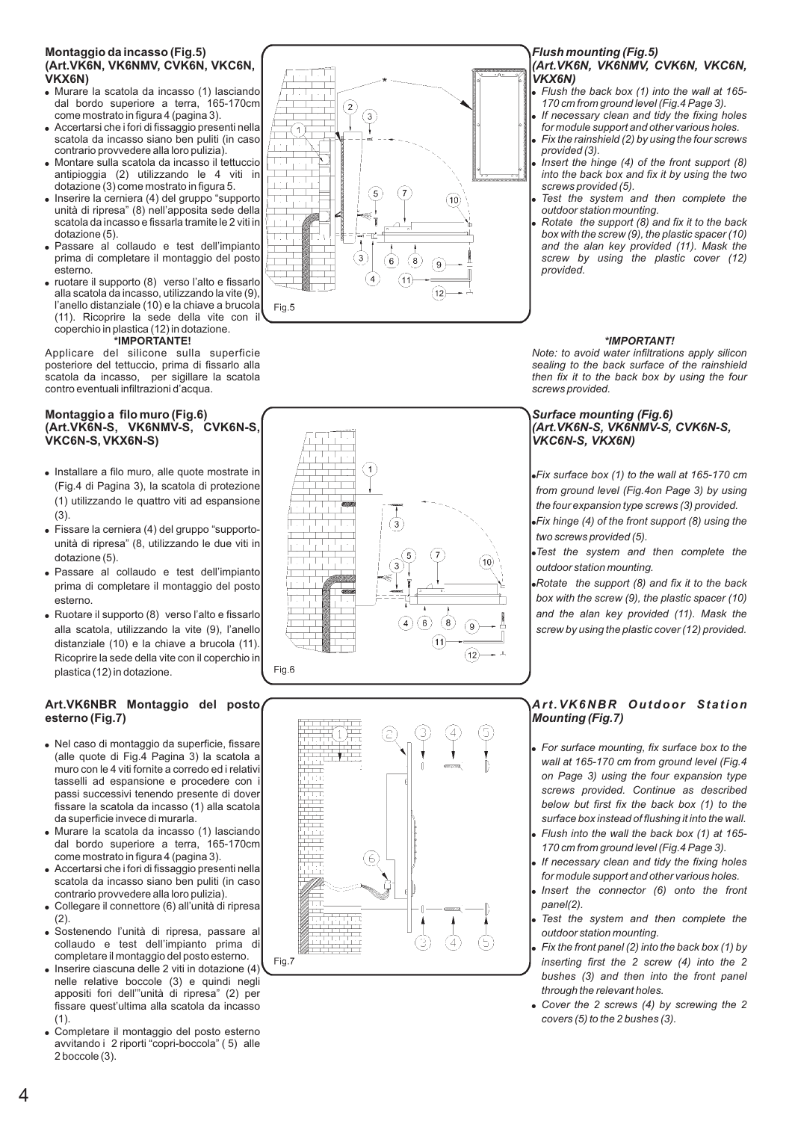# **Montaggio da incasso (Fig.5) (Art.VK6N, VK6NMV, CVK6N, VKC6N,**

- Murare la scatola da incasso (1) lasciando dal bordo superiore a terra, 165-170cm come mostrato in figura 4 (pagina 3).
- Accertarsi che i fori di fissaggio presenti nella scatola da incasso siano ben puliti (in caso contrario provvedere alla loro pulizia).
- Montare sulla scatola da incasso il tettuccio antipioggia (2) utilizzando le 4 viti in dotazione (3) come mostrato in figura 5.
- **VKX6N)**<br>
 Murare<br>
dal boome m<br>
 Accerta<br>
scatola<br>
contrariatipiog<br>
contrariatipiog<br>
dotazio<br>
 Inserire<br>
mità di<br>
scatola<br>
 Passarr<br>
esterno<br>
esterno<br>
 Iuotare<br>
 Iuotare • Inserire la cerniera (4) del gruppo "supporto unità di ripresa" (8) nell'apposita sede della scatola da incasso e fissarla tramite le 2 viti in dotazione (5).
- Passare al collaudo e test dell'impianto prima di completare il montaggio del posto esterno.
- ruotare il supporto (8) verso l'alto e fissarlo alla scatola da incasso, utilizzando la vite (9), l'anello distanziale (10) e la chiave a brucola (11). Ricoprire la sede della vite con il coperchio in plastica (12) in dotazione. **\*IMPORTANTE!**

Applicare del silicone sulla superficie posteriore del tettuccio, prima di fissarlo alla scatola da incasso, per sigillare la scatola contro eventuali infiltrazioni d'acqua.

### **Montaggio a filo muro (Fig.6) (Art.VK6N-S, VK6NMV-S, CVK6N-S, VKC6N-S, VKX6N-S)**

- .<br>.<br>. Installare a filo muro, alle quote mostrate in (Fig.4 di Pagina 3), la scatola di protezione (1) utilizzando le quattro viti ad espansione (3).
- Fissare la cerniera (4) del gruppo "supportounità di ripresa" (8, utilizzando le due viti in dotazione (5).
- Passare al collaudo e test dell'impianto prima di completare il montaggio del posto esterno.
- Ruotare il supporto (8) verso l'alto e fissarlo alla scatola, utilizzando la vite (9), l'anello distanziale (10) e la chiave a brucola (11). Ricoprire la sede della vite con il coperchio in plastica (12) in dotazione.

### **Art.VK6NBR Montaggio del posto esterno (Fig.7)**

- . . . . . . . Nel caso di montaggio da superficie, fissare (alle quote di Fig.4 Pagina 3) la scatola a muro con le 4 viti fornite a corredo ed i relativi tasselli ad espansione e procedere con i passi successivi tenendo presente di dover fissare la scatola da incasso (1) alla scatola da superficie invece di murarla.
- Murare la scatola da incasso (1) lasciando dal bordo superiore a terra, 165-170cm come mostrato in figura 4 (pagina 3).
- Accertarsi che i fori di fissaggio presenti nella scatola da incasso siano ben puliti (in caso contrario provvedere alla loro pulizia).
- Collegare il connettore (6) all'unità di ripresa  $(2)$
- Sostenendo l'unità di ripresa, passare al collaudo e test dell'impianto prima di completare il montaggio del posto esterno.
- Inserire ciascuna delle 2 viti in dotazione (4) nelle relative boccole (3) e quindi negli appositi fori dell'"unità di ripresa" (2) per fissare quest'ultima alla scatola da incasso (1).
- Completare il montaggio del posto esterno avvitando i 2 riporti "copri-boccola" ( 5) alle 2 boccole (3).



# *Flush mounting (Fig.5) (Art.VK6N, VK6NMV, CVK6N, VKC6N,*

- *Flush the back box (1) into the wall at 165- 170 cm from ground level (Fig.4 Page 3).*
- *If necessary clean and tidy the fixing holes for module support and other various holes. Fix the rainshield (2) by using the four screws*
- *provided (3).*
- *VKX6N)*<br>
 Flush ti<br>
170 cm<br>
 If neces<br> *Vix the*<br>
 Fix the<br> **Provide Scratch Provideo**<br>
 Test the outdool<br>
 Rotate *Insert the hinge (4) of the front support (8) into the back box and fix it by using the two screws provided (5).*
- *Test the system and then complete the outdoor station mounting.*
- *Rotate the support (8) and fix it to the back box with the screw (9), the plastic spacer (10) and the alan key provided (11). Mask the screw by using the plastic cover (12) provided.*

### *\*IMPORTANT!*

*Note: to avoid water infiltrations apply silicon sealing to the back surface of the rainshield then fix it to the back box by using the four screws provided.*

### *Surface mounting (Fig.6) (Art.VK6N-S, VK6NMV-S, CVK6N-S, VKC6N-S, VKX6N)*

.<br>.<br>.<br>. *Fix surface box (1) to the wall at 165-170 cm from ground level (Fig.4on Page 3) by using the four expansion type screws (3) provided.*

*Fix hinge (4) of the front support (8) using the two screws provided (5).*

*Test the system and then complete the outdoor station mounting.*

*Rotate the support (8) and fix it to the back box with the screw (9), the plastic spacer (10) and the alan key provided (11). Mask the screw by using the plastic cover (12) provided.*

### *Art.VK6NBR Outdoor Station Mounting (Fig.7)*

- . . . . . . *For surface mounting, fix surface box to the wall at 165-170 cm from ground level (Fig.4 on Page 3) using the four expansion type screws provided. Continue as described below but first fix the back box (1) to the surface box instead of flushing it into the wall.*
- *Flush into the wall the back box (1) at 165- 170 cm from ground level (Fig.4 Page 3).*
- *If necessary clean and tidy the fixing holes for module support and other various holes.*
- *Insert the connector (6) onto the front panel(2).*
- *Test the system and then complete the outdoor station mounting.*
- *Fix the front panel (2) into the back box (1) by inserting first the 2 screw (4) into the 2 bushes (3) and then into the front panel through the relevant holes.*
- *Cover the 2 screws (4) by screwing the 2 covers (5) to the 2 bushes (3).*





 $Fig 7$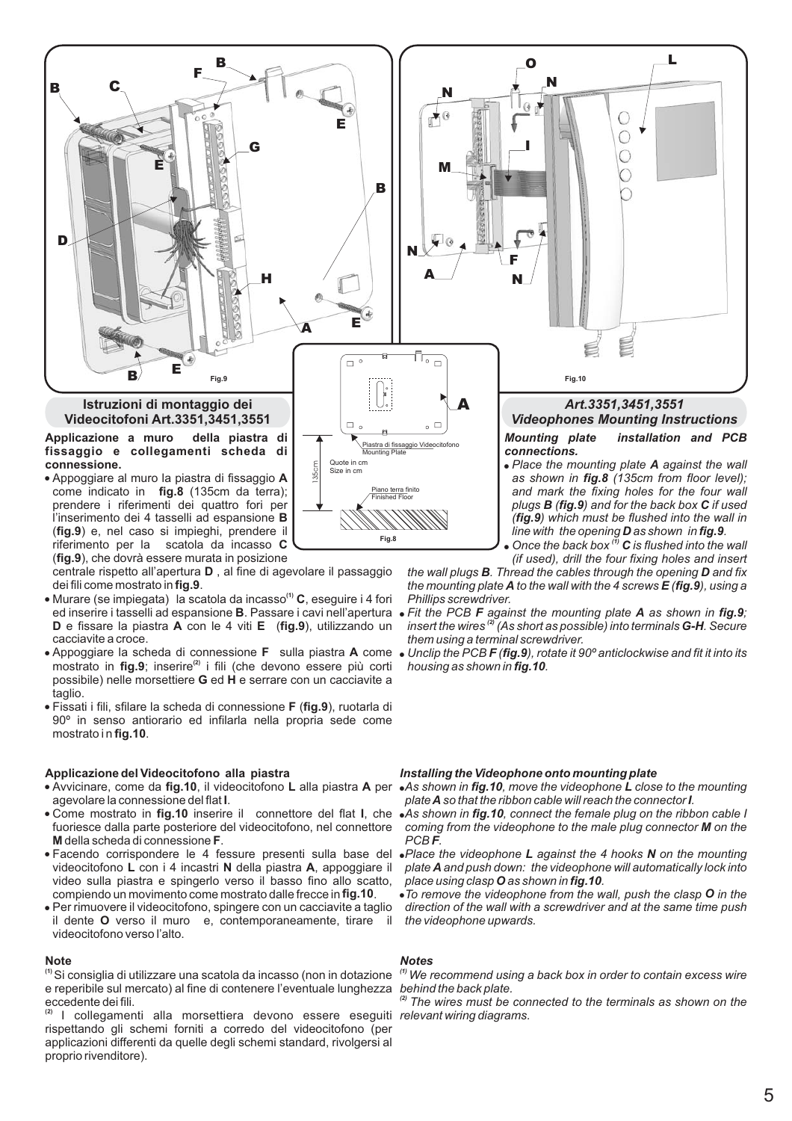

**Fig.8**

l'inserimento dei 4 tasselli ad espansione **B** (fig.9) e, nel caso si impieghi, prendere il **C** riferimento per la scatola da incasso (fig.9), che dovrà essere murata in posizione

centrale rispetto all'apertura **D**, al fine di agevolare il passaggio dei fili come mostrato in **fig.9**.

- Murare (se impiegata) la scatola da incasso<sup>(1)</sup> C, eseguire i 4 fori ed inserire i tasselli ad espansione **B**. Passare i cavi nell'apertura **D** e fissare la piastra **A** con le 4 viti **E** (fig.9), utilizzando un cacciavite a croce.
- Appoggiare la scheda di connessione F sulla piastra A come Unclip the PCB F (fig.9), rotate it 90<sup>o</sup> anticlockwise and fit it into its mostrato in fig.9; inserire<sup>(2)</sup> i fili (che devono essere più corti possibile) nelle morsettiere **G** ed **H** e serrare con un cacciavite a taglio.
- **Fissati i fili, sfilare la scheda di connessione F (fig.9), ruotarla di** mostrato i n **fig.10**. 90º in senso antiorario ed infilarla nella propria sede come

### **Applicazione del Videocitofono alla piastra**

- **Avvicinare, come da fig.10, il videocitofono L alla piastra A per As shown in fig.10, move the videophone L close to the mounting** agevolare la connessione del flat **I**.
- · Come mostrato in fig.10 inserire il connettore del flat I, che **M** della scheda di connessione F. fuoriesce dalla parte posteriore del videocitofono, nel connettore
- videocitofono L con i 4 incastri N della piastra A, appoggiare il compiendo un movimento come mostrato dalle frecce in fig.10. video sulla piastra e spingerlo verso il basso fino allo scatto,
- il dente **O** verso il muro e, contemporaneamente, tirare il Per rimuovere il videocitofono, spingere con un cacciavite a taglio videocitofono verso l'alto.

### **Note**

Si consiglia di utilizzare una scatola da incasso (non in dotazione **(1)** e reperibile sul mercato) al fine di contenere l'eventuale lunghezza eccedente dei fili.

<sup>(2)</sup> I collegamenti alla morsettiera devono essere eseguiti *relevant wiring diagrams.* rispettando gli schemi forniti a corredo del videocitofono (per applicazioni differenti da quelle degli schemi standard, rivolgersi al proprio rivenditore).

### *Installing the Videophone onto mounting plate*

*housing as shown in fig.10.* 

*them using a terminal screwdriver.*

*Phillips screwdriver.*

plate **A** so that the ribbon cable will reach the connector **I**.

 $\bullet$  Once the back box  $\overset{\tau\bar{\jmath}}{\sim}$  **C** 

*the wall plugs B. Thread the cables through the opening D and fix* the mounting plate **A** to the wall with the 4 screws **E (fig.9**), using a The PCB **F** against the mounting plate **A** as shown in fig.9; *insert the wires'<sup>2)</sup> (As short as possible) into terminals G-H. Secure* 

*(fig.9)* which must be flushed into the wall in

*line with the opening D as shown in fig.9. Once the back box*<sup>(1)</sup> C is flushed into the wall *(if used), drill the four fixing holes and insert*

**D** as shown in **fig.9** 

- **As shown in fig.10**, connect the female plug on the ribbon cable I coming from the videophone to the male plug connector **M** on the *F PCB .*
- **Facendo corrispondere le 4 fessure presenti sulla base del** *Place the videophone L against the 4 hooks N on the mounting A plate and push down: the videophone will automatically lock into place using clasp O as shown in fig.10.* 
	- To remove the videophone from the wall, push the clasp **O** in the *direction of the wall with a screwdriver and at the same time push the videophone upwards.*

### *Notes*

*We recommend using a back box in order to contain excess wire (1) behind the back plate.*

*The wires must be connected to the terminals as shown on the (2)*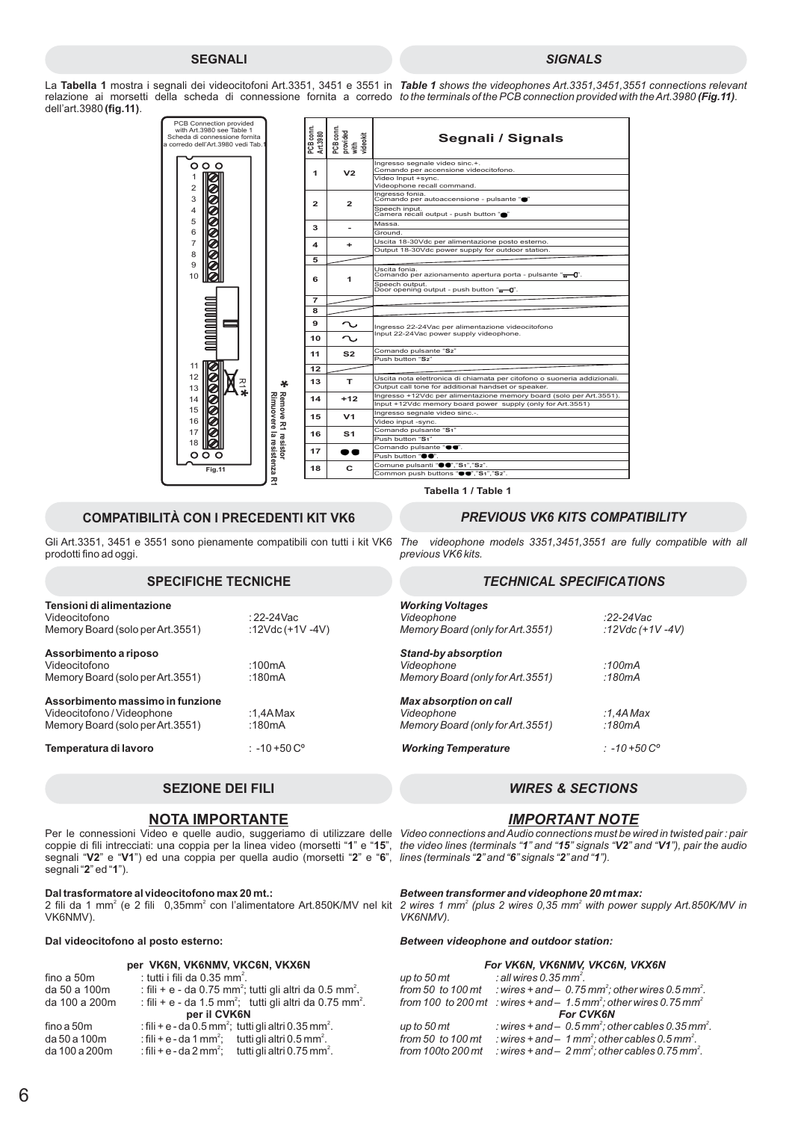### **SEGNALI** *SIGNALS*

La **Tabella 1** mostra i segnali dei videocitofoni Art.3351, 3451 e 3551 in *Table 1 shows the videophones Art.3351,3451,3551 connections relevant* relazione ai morsetti della scheda di connessione fornita a corredo *to the terminals of the PCB connection provided with the Art.3980 (Fig.11).* dell'art.3980 (**fig.11**).



### **COMPATIBILITÀ CON I PRECEDENTI KIT VK6** *PREVIOUS VK6 KITS COMPATIBILITY*

Gli Art.3351, 3451 e 3551 sono pienamente compatibili con tutti i kit VK6 The videophone models 3351,3451,3551 are fully compatible with all prodotti fino ad oggi.

| Tensioni di alimentazione<br>Videocitofono<br>Memory Board (solo per Art.3551)                     | : 22-24 Vac<br>:12Vdc $(+1V -4V)$ |
|----------------------------------------------------------------------------------------------------|-----------------------------------|
| Assorbimento a riposo<br>Videocitofono<br>Memory Board (solo per Art.3551)                         | :100 $mA$<br>:180 $mA$            |
| Assorbimento massimo in funzione<br>Videocitofono / Videophone<br>Memory Board (solo per Art.3551) | :1.4A Max<br>:180 $mA$            |
| Temperatura di lavoro                                                                              | $: -10 + 50 C^{\circ}$            |

### **SEZIONE DEI FILI** *WIRES & SECTIONS*

### **NOTA IMPORTANTE**

coppie di fili intrecciati: una coppia per la linea video (morsetti "1" e "15", segnali "V2" e "V1") ed una coppia per quella audio (morsetti "2" e "6", segnali "**2**" ed "**1**"). **1**" e "**15 V2**" e "**V1**") ed una coppia per quella audio (morsetti "2" e "6

### **Dal trasformatore al videocitofono max 20 mt.:**

2 fili da 1 mm<sup>2</sup> (e 2 fili 0,35mm<sup>2</sup> con l'alimentatore Art.850K/MV nel kit VK6NMV).

### **Dal videocitofono al posto esterno:**

|  |  | per VK6N, VK6NMV, VKC6N, VKX6N |  |  |
|--|--|--------------------------------|--|--|
|--|--|--------------------------------|--|--|

| fino a 50m    | : tutti i fili da 0.35 mm <sup>2</sup> .                                        |
|---------------|---------------------------------------------------------------------------------|
| da 50 a 100m  | : fili + e - da 0.75 mm <sup>2</sup> ; tutti gli altri da 0.5 mm <sup>2</sup> . |
| da 100 a 200m | : fili + e - da 1.5 mm <sup>2</sup> ; tutti gli altri da 0.75 mm <sup>2</sup> . |
|               | per il CVK6N                                                                    |
| fino a 50m    | : fili + e - da 0.5 mm <sup>2</sup> ; tutti gli altri 0.35 mm <sup>2</sup> .    |
| da 50 a 100m  | : fili + e - da 1 mm <sup>2</sup> ; tutti gli altri 0.5 mm <sup>2</sup> .       |
| da 100 a 200m | : fili + e - da 2 mm <sup>2</sup> ; tutti gli altri 0.75 mm <sup>2</sup> .      |

**Tabella1/Table 1**

*previous VK6 kits.*

### **SPECIFICHE TECNICHE** *TECHNICAL SPECIFICATIONS*

| <b>Working Voltages</b><br>Videophone<br>Memory Board (only for Art. 3551) | :22-24Vac<br>:12Vdc (+1V -4V) |
|----------------------------------------------------------------------------|-------------------------------|
| Stand-by absorption<br>Videophone<br>Memory Board (only for Art. 3551)     | :100 $mA$<br>:180mA           |
| Max absorption on call<br>Videophone<br>Memory Board (only for Art. 3551)  | :1.4A Max<br>:180 $mA$        |
| <b>Working Temperature</b>                                                 | : -10 +50 $C^{\circ}$         |

### *IMPORTANT NOTE*

Per le connessioni Video e quelle audio, suggeriamo di utilizzare delle Video connections and Audio connections must be wired in twisted pair : pair *the video lines (terminals " " and " " signals " " and " "), pair the audio lines (terminals " " and " " signals " " and " "). 1" and "15" signals "V2" and "V1* "2" and "**6**" signals "2" and "**1** 

### *Between transformer and videophone 20 mt max:*

2 wires 1 mm<sup>2</sup> (plus 2 wires 0,35 mm<sup>2</sup> with power supply Art.850K/MV in *VK6NMV).*

### *Between videophone and outdoor station:*

| For VK6N, VK6NMV, VKC6N, VKX6N |                                                                                            |  |
|--------------------------------|--------------------------------------------------------------------------------------------|--|
| up to 50 mt                    | : all wires $0.35$ mm <sup>2</sup> .                                                       |  |
| from 50 to 100 mt              | : wires + and $-$ 0.75 mm <sup>2</sup> ; other wires 0.5 mm <sup>2</sup> .                 |  |
|                                | from 100 to 200 mt : wires + and $-1.5$ mm <sup>2</sup> ; other wires 0.75 mm <sup>2</sup> |  |
|                                | <b>For CVK6N</b>                                                                           |  |
| up to 50 mt                    | : wires $+$ and $-$ 0.5 mm <sup>2</sup> ; other cables 0.35 mm <sup>2</sup> .              |  |
| from 50 to 100 $\,$ mt         | : wires $+$ and $-1$ mm <sup>2</sup> : other cables 0.5 mm <sup>2</sup> .                  |  |
| from 100to 200 mt              | : wires + and $-2$ mm <sup>2</sup> ; other cables 0.75 mm <sup>2</sup> .                   |  |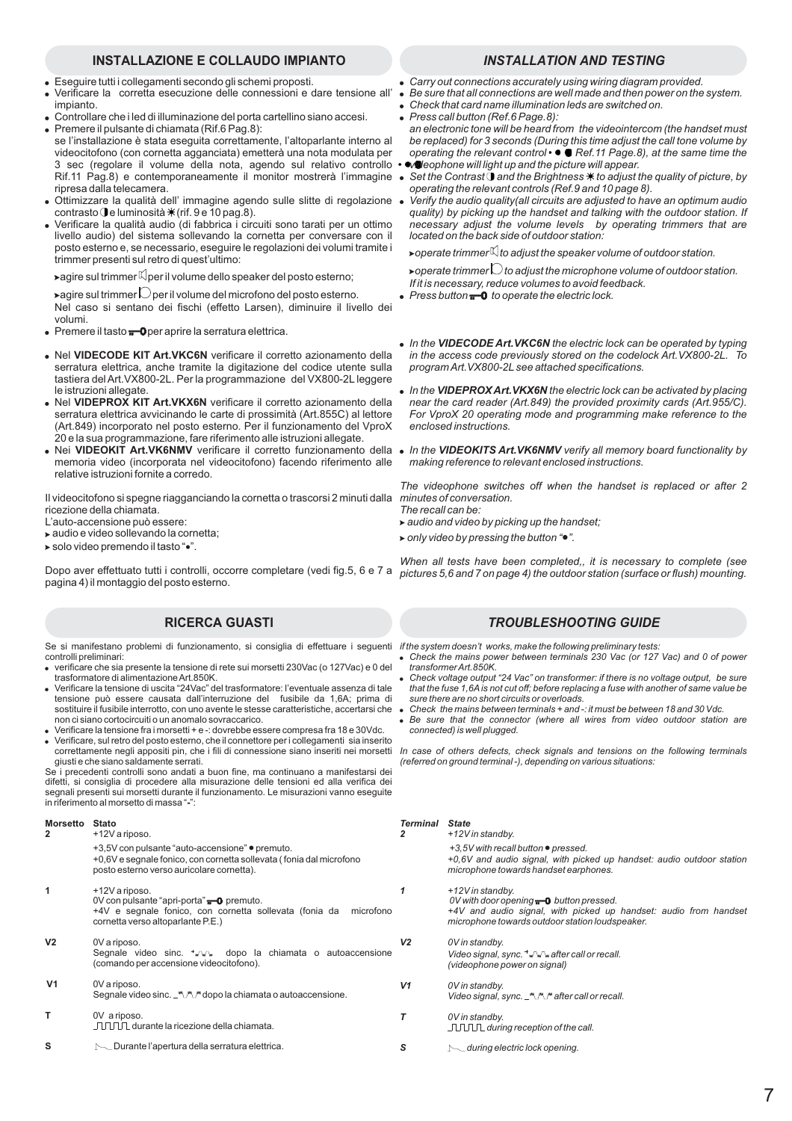### **INSTALLAZIONE E COLLAUDO IMPIANTO** *INSTALLATION AND TESTING*

- Eseguire tutti i collegamenti secondo gli schemi proposti.
- Verificare la corretta esecuzione delle connessioni e dare tensione all' impianto.
- Controllare che i led di illuminazione del porta cartellino siano accesi. Premere il pulsante di chiamata (Rif.6 Pag.8):
- se l'installazione è stata eseguita correttamente, l'altoparlante interno al videocitofono (con cornetta agganciata) emetterà una nota modulata per 3 sec (regolare il volume della nota, agendo sul relativo controllo Rif.11 Pag.8) e contemporaneamente il monitor mostrerà l'immagine ripresa dalla telecamera.
- $\bullet$ Ottimizzare la qualità dell' immagine agendo sulle slitte di regolazione contrasto le luminosità \* (rif. 9 e 10 pag.8).
- $\bullet$ Verificare la qualità audio (di fabbrica i circuiti sono tarati per un ottimo livello audio) del sistema sollevando la cornetta per conversare con il posto esterno e, se necessario, eseguire le regolazioni dei volumi tramite i trimmer presenti sul retro di quest'ultimo:

 $\blacktriangleright$ agire sul trimmer $\mathbb K$ per il volume dello speaker del posto esterno;

 $\blacktriangleright$ agire sul trimmer $\bigcirc$  per il volume del microfono del posto esterno.

- Nel caso si sentano dei fischi (effetto Larsen), diminuire il livello dei volumi.
- Premere il tasto **not**per aprire la serratura elettrica.
- . Nel VIDECODE KIT Art.VKC6N verificare il corretto azionamento della serratura elettrica, anche tramite la digitazione del codice utente sulla tastiera del Art.VX800-2L. Per la programmazione del VX800-2L leggere le istruzioni allegate.
- Nel VIDEPROX KIT Art.VKX6N verificare il corretto azionamento della serratura elettrica avvicinando le carte di prossimità (Art.855C) al lettore (Art.849) incorporato nel posto esterno. Per il funzionamento del VproX 20 e la sua programmazione, fare riferimento alle istruzioni allegate.
- memoria video (incorporata nel videocitofono) facendo riferimento alle relative istruzioni fornite a corredo.

Il videocitofono si spegne riagganciando la cornetta o trascorsi 2 minuti dalla ricezione della chiamata.

L'auto-accensione può essere:

audio e video sollevando la cornetta;

solo video premendo il tasto "...

pagina 4) il montaggio del posto esterno.

Se si manifestano problemi di funzionamento, si consiglia di effettuare i seguenti *if the system doesn't works, make the following preliminary tests:* controlli preliminari:

- verificare che sia presente la tensione di rete sui morsetti 230Vac (o 127Vac) e 0 del trasformatore di alimentazioneArt.850K. Verificare la tensione di uscita "24Vac" del trasformatore: l'eventuale assenza di tale  $\bullet$
- tensione può essere causata dall'interruzione del fusibile da 1,6A; prima di sostituire il fusibile interrotto, con uno avente le stesse caratteristiche, accertarsi che non ci siano cortocircuiti o un anomalo sovraccarico.  $\ddot{\phantom{0}}$
- Verificare la tensione fra i morsetti + e -: dovrebbe essere compresa fra 18 e 30Vdc.  $\bullet$
- Verificare, sul retro del posto esterno, che il connettore per i collegamenti sia inserito correttamente negli appositi pin, che i fili di connessione siano inseriti nei morsetti giusti e che siano saldamente serrati.  $\bullet$

Se i precedenti controlli sono andati a buon fine, ma continuano a manifestarsi dei difetti, si consiglia di procedere alla misurazione delle tensioni ed alla verifica dei segnali presenti sui morsetti durante il funzionamento. Le misurazioni vanno eseguite in riferimento al morsetto di massa " ": **-**

### **Morsetto Stato**

**S**

| 2              | +12V a riposo.                                                                                                                                                                     | 2  |
|----------------|------------------------------------------------------------------------------------------------------------------------------------------------------------------------------------|----|
|                | +3,5V con pulsante "auto-accensione" • premuto.<br>+0,6V e segnale fonico, con cornetta sollevata (fonia dal microfono<br>posto esterno verso auricolare cornetta).                |    |
| 1              | +12V a riposo.<br>0V con pulsante "apri-porta" $\blacksquare$ premuto.<br>+4V e segnale fonico, con cornetta sollevata (fonia da<br>microfono<br>cornetta verso altoparlante P.E.) | 1  |
| V2             | 0V a riposo.<br>Segnale video sinc. + mm dopo la chiamata o autoaccensione<br>(comando per accensione videocitofono).                                                              | V2 |
| V <sub>1</sub> | 0V a riposo.<br>Segnale video sinc. _ \\"\"\" dopo la chiamata o autoaccensione.                                                                                                   | V1 |
| т              | OV a riposo.<br>$\Pi \Pi \Pi$ durante la ricezione della chiamata.                                                                                                                 |    |

Durante l'apertura della serratura elettrica.

- 
- *Carry out connections accurately using wiring diagram provided.*
- $\bullet$ *Be sure that all connections are well made and then power on the system.*
- $\bullet$ *Check that card name illumination leds are switched on.*
- *Press call button (Ref.6 Page.8): an electronic tone will be heard from the videointercom (the handset must be replaced) for 3 seconds (During this time adjust the call tone volume by operating the relevant control*  $\bullet \bullet \bullet$  Ref.11 Page.8), at the same time the
- *videophone will light up and the picture will appear.*
- **Set the Contrast and the Brightness**  $*$  **to adjust the quality of picture, by** *operating the relevant controls (Ref.9 and 10 page 8).*
- *Verify the audio quality(all circuits are adjusted to have an optimum audio quality) by picking up the handset and talking with the outdoor station. If necessary adjust the volume levels by operating trimmers that are located on the back side of outdoor station:*

 $\bullet$  operate trimmer $\mathbb N$ to adjust the speaker volume of outdoor station.

 $\bullet$  operate trimmer $\bigcirc$  to adjust the microphone volume of outdoor station. *If it is necessary, reduce volumes to avoid feedback.*

- Press button  $\overline{\mathbf{t}}$  to operate the electric lock.
- In the VIDECODE Art. VKC6N the electric lock can be operated by typing *in the access code previously stored on the codelock Art.VX800-2L. To programArt.VX800-2L see attached specifications.*
- . In the VIDEPROX Art. VKX6N the electric lock can be activated by placing *near the card reader (Art.849) the provided proximity cards (Art.955/C). For VproX 20 operating mode and programming make reference to the enclosed instructions.*
- Nei VIDEOKIT Art.VK6NMV verificare il corretto funzionamento della In the VIDEOKITS Art.VK6NMV verify all memory board functionality by *making reference to relevant enclosed instructions.*

*The videophone switches off when the handset is replaced or after 2 minutes of conversation. The recall can be:*

- *audio and video by picking up the handset;*
- *only video by pressing the button " ".*

Dopo aver effettuato tutti i controlli, occorre completare (vedi fig.5, 6 e 7 a pictures 5,6 and 7 on page 4) the outdoor station (surface or flush) mounting. *When all tests have been completed,, it is necessary to complete (see*

### **RICERCA GUASTI** *TROUBLESHOOTING GUIDE*

- *Check the mains power between terminals 230 Vac (or 127 Vac) and 0 of power transformerArt.850K.* .
- *Check voltage output "24 Vac" on transformer: if there is no voltage output, be sure that the fuse 1,6A is not cut off; before replacing a fuse with another of same value be sure there are no short circuits or overloads.* .
- *Check the mains between terminals + and -: it must be between 18 and 30 Vdc.* .
- *Be sure that the connector (where all wires from video outdoor station are connected) is well plugged.* .

*In case of others defects, check signals and tensions on the following terminals (referred on ground terminal -), depending on various situations:*

| Terminal<br>2 | <b>State</b><br>+12V in standby.                                                                                                                                                               |
|---------------|------------------------------------------------------------------------------------------------------------------------------------------------------------------------------------------------|
|               | +3,5V with recall button • pressed.<br>+0,6V and audio signal, with picked up handset: audio outdoor station<br>microphone towards handset earphones.                                          |
|               | +12V in standby.<br>OV with door opening $\blacksquare$ button pressed.<br>+4V and audio signal, with picked up handset: audio from handset<br>microphone towards outdoor station loudspeaker. |
| V2            | 0V in standby.<br>Video signal, sync. + www.after call or recall.<br>(videophone power on signal)                                                                                              |
| V1            | 0V in standby.                                                                                                                                                                                 |
|               | 0V in standby.<br>$\Box$ $\Box$ $\Box$ during reception of the call.                                                                                                                           |

*during electric lock opening. S*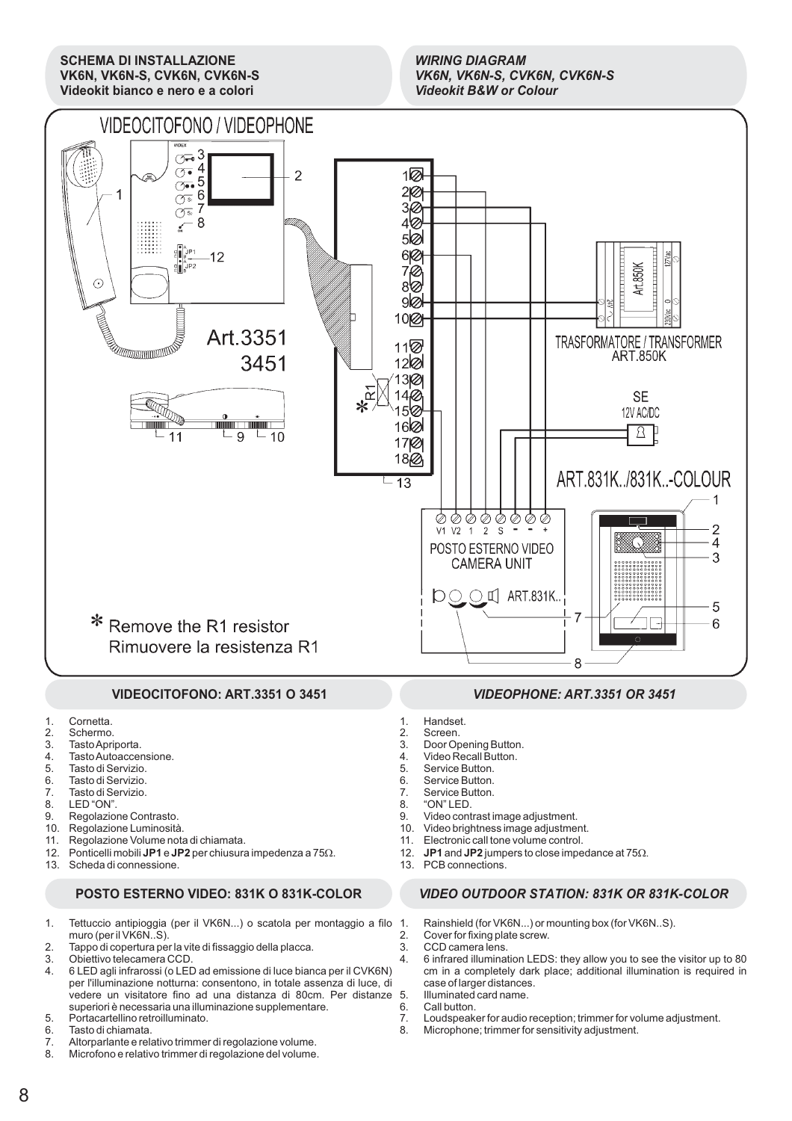**SCHEMA DI INSTALLAZIONE VK6N, VK6N-S, CVK6N, CVK6N-S Videokit bianco e nero e a colori**

### *WIRING DIAGRAM VK6N, VK6N-S, CVK6N, CVK6N-S Videokit B&W or Colour*



### **VIDEOCITOFONO: ART.3351 O 3451**

- 1. Cornetta.<br>2. Schermo
- 2. Schermo.<br>3 Tasto Apri
- Tasto Apriporta.
- 4. Tasto Autoaccensione.<br>5. Tasto di Servizio
- 5. Tasto di Servizio.
- 6. Tasto di Servizio.
- 7. Tasto di Servizio.
- 8. LED "ON".
- 9. Regolazione Contrasto.
- 10. Regolazione Luminosità.
- 11. Regolazione Volume nota di chiamata.
- 12. Ponticelli mobili JP1 e JP2 per chiusura impedenza a  $75\Omega$ .
- 13. Scheda di connessione.

### **POSTO ESTERNO VIDEO: 831K O 831K-COLOR**

- 1. Tettuccio antipioggia (per il VK6N...) o scatola per montaggio a filo muro (per il VK6N..S).
- 2. Tappo di copertura per la vite di fissaggio della placca.
- 3. Obiettivo telecamera CCD.<br>4. 6 LED agli infrarossi (o LED
- 4. 6 LED agli infrarossi (o LED ad emissione di luce bianca per il CVK6N) per l'illuminazione notturna: consentono, in totale assenza di luce, di vedere un visitatore fino ad una distanza di 80cm. Per distanze superiori è necessaria una illuminazione supplementare.
- 5. Portacartellino retroilluminato.<br>6. Tasto di chiamata.
- 6. Tasto di chiamata.<br>7. Altorparlante e rela
- 7. Altorparlante e relativo trimmer di regolazione volume.
- Microfono e relativo trimmer di regolazione del volume.

### *VIDEOPHONE: ART.3351 OR 3451*

- 
- 1. Handset.<br>2. Screen. 2. Screen.<br>3 Door On
- Door Opening Button.
- 4. Video Recall Button.<br>5. Service Button.
- 5. Service Button.<br>6. Service Button.
- 6. Service Button.<br>7. Service Button.
- 7. Service Button.<br>8. "ON" LED.
- 8. "ON" LED.
- 9. Video contrast image adjustment.
- 10. Video brightness image adjustment.<br>11. Electronic call tone volume control.
- 11. Electronic call tone volume control.<br>12. JP1 and JP2 jumpers to close impe **JP1** and **JP2** jumpers to close impedance at  $75\Omega$ .
- 13. PCB connections.

### *VIDEO OUTDOOR STATION: 831K OR 831K-COLOR*

- 1. Rainshield (for VK6N...) or mounting box (for VK6N..S).
- 2. Cover for fixing plate screw.
- 3. CCD camera lens.
- 4. 6 infrared illumination LEDS: they allow you to see the visitor up to 80 cm in a completely dark place; additional illumination is required in case of larger distances. 5. Illuminated card name.
- 6. Call button.
- 7. Loudspeaker for audio reception; trimmer for volume adjustment.<br>8. Microphone: trimmer for sensitivity adjustment.
- Microphone; trimmer for sensitivity adjustment.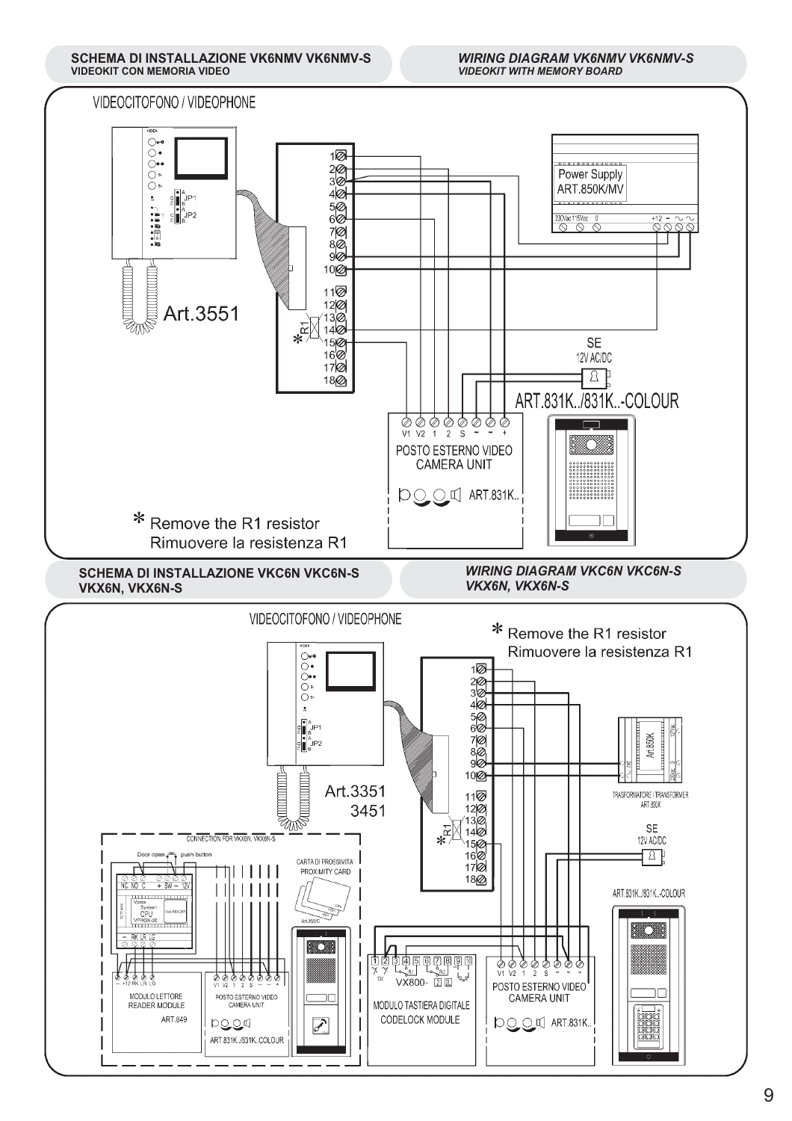**SCHEMA DI INSTALLAZIONE VK6NMV VK6NMV-S VIDEOKIT CON MEMORIA VIDEO**

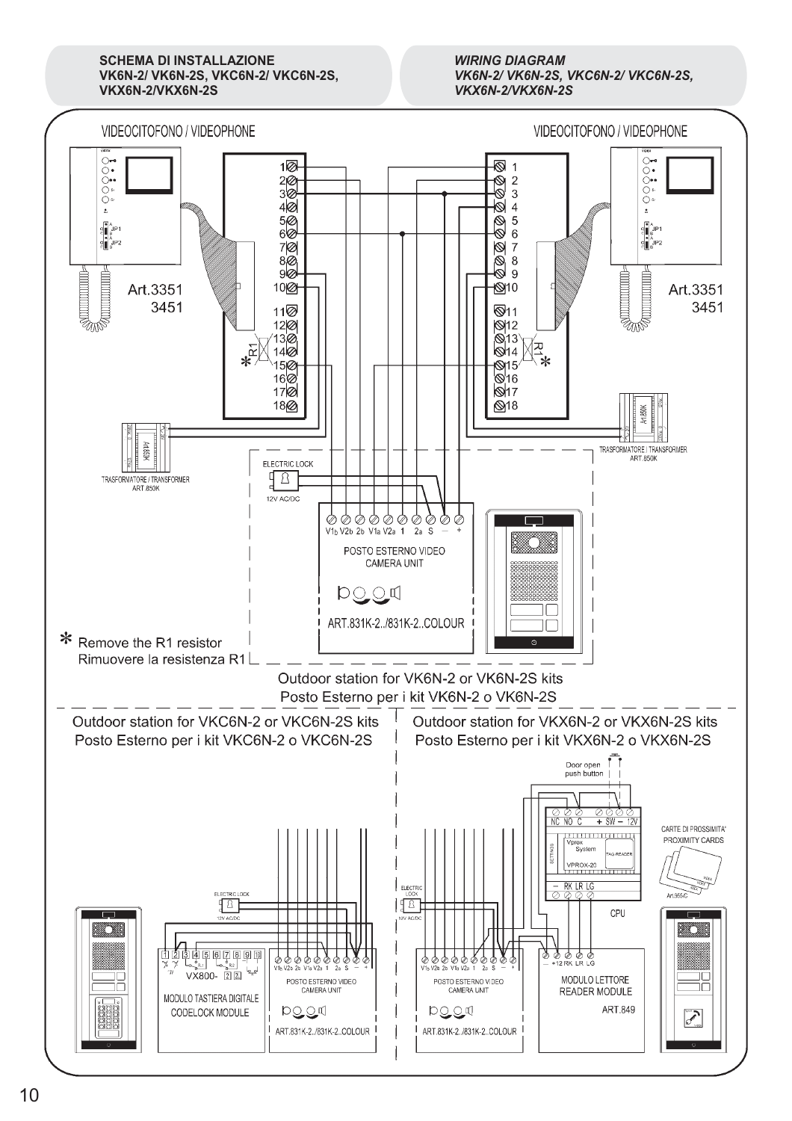**SCHEMA DI INSTALLAZIONE VK6N-2/ VK6N-2S, VKC6N-2/ VKC6N-2S, VKX6N-2/VKX6N-2S**

*WIRING DIAGRAM VK6N-2/ VK6N-2S, VKC6N-2/ VKC6N-2S, VKX6N-2/VKX6N-2S*

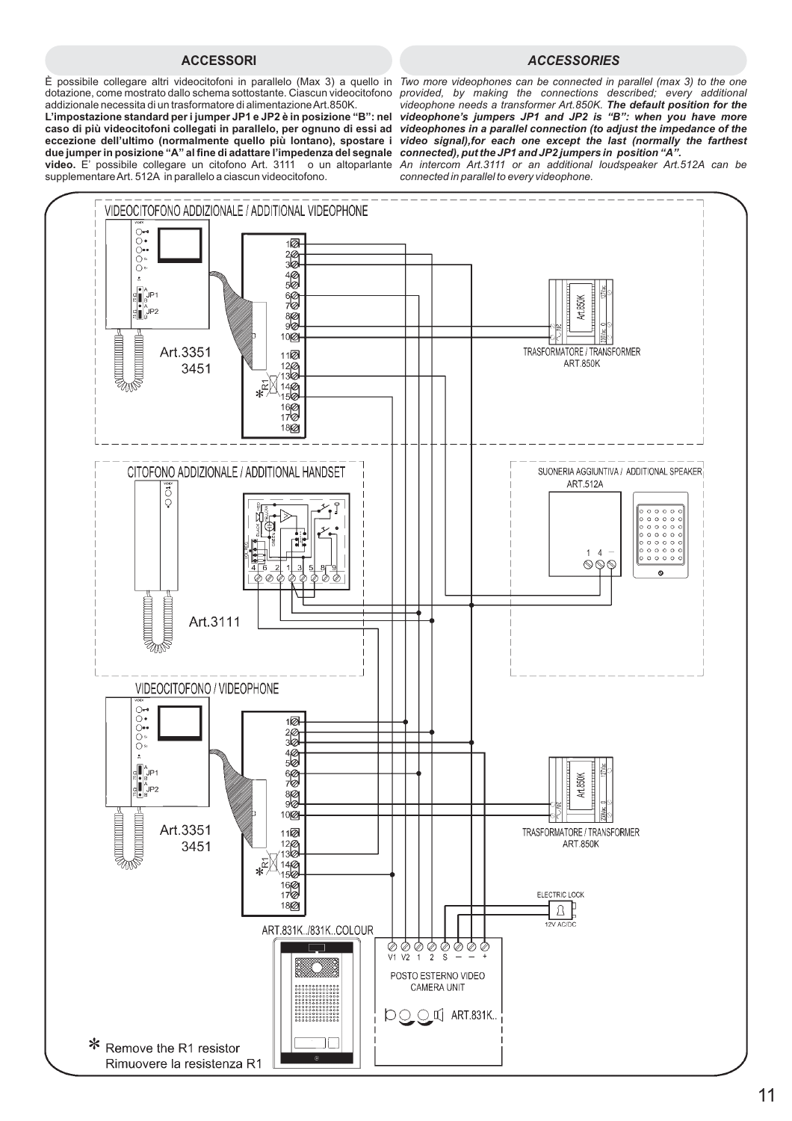### **ACCESSORI** *ACCESSORIES*

dotazione, come mostrato dallo schema sottostante. Ciascun videocitofono *provided, by making the connections described; every additional* addizionale necessita di un trasformatore di alimentazioneArt.850K.

video. E' possibile collegare un citofono Art. 3111 o un altoparlante An intercom Art.3111 or an additional loudspeaker Art.512A can be supplementareArt. 512A in parallelo a ciascun videocitofono. **caso di più videocitofoni collegati in parallelo, per ognuno di essi ad** *videophones in a parallel connection (to adjust the impedance of the* **eccezione dell'ultimo (normalmente quello più lontano), spostare i due jumper in posizione "A" al fine di adattare l'impedenza del segnale** *connected), put the JP1 and JP2 jumpers in position . "A"*

È possibile collegare altri videocitofoni in parallelo (Max 3) a quello in *Two more videophones can be connected in parallel (max 3) to the one* **L'impostazione standard per i jumper JP1 e JP2 è in posizione "B": nel** *videophone's jumpers JP1 and JP2 is "B": when you have more videophone needs a transformer Art.850K. The default position for the video signal),for each one except the last (normally the farthest*

*connected in parallel to every videophone.*